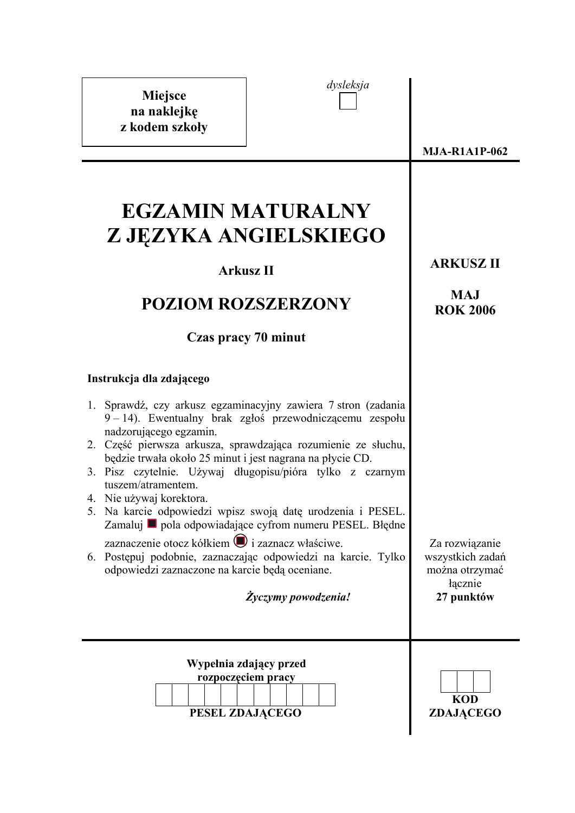| dysleksja<br>Miejsce<br>na naklejkę<br>z kodem szkoły                                                                                                                                                                                                                                                                                                                                                                                                       |                                                                               |  |  |
|-------------------------------------------------------------------------------------------------------------------------------------------------------------------------------------------------------------------------------------------------------------------------------------------------------------------------------------------------------------------------------------------------------------------------------------------------------------|-------------------------------------------------------------------------------|--|--|
|                                                                                                                                                                                                                                                                                                                                                                                                                                                             | <b>MJA-R1A1P-062</b>                                                          |  |  |
| <b>EGZAMIN MATURALNY</b><br>Z JĘZYKA ANGIELSKIEGO<br><b>Arkusz II</b>                                                                                                                                                                                                                                                                                                                                                                                       | <b>ARKUSZ II</b>                                                              |  |  |
| <b>POZIOM ROZSZERZONY</b>                                                                                                                                                                                                                                                                                                                                                                                                                                   | <b>MAJ</b><br><b>ROK 2006</b>                                                 |  |  |
| Czas pracy 70 minut                                                                                                                                                                                                                                                                                                                                                                                                                                         |                                                                               |  |  |
| Instrukcja dla zdającego                                                                                                                                                                                                                                                                                                                                                                                                                                    |                                                                               |  |  |
| 1. Sprawdź, czy arkusz egzaminacyjny zawiera 7 stron (zadania<br>9–14). Ewentualny brak zgłoś przewodniczącemu zespołu<br>nadzorującego egzamin.<br>2. Część pierwsza arkusza, sprawdzająca rozumienie ze słuchu,<br>będzie trwała około 25 minut i jest nagrana na płycie CD.<br>3. Pisz czytelnie. Używaj długopisu/pióra tylko z czarnym<br>tuszem/atramentem.<br>4. Nie używaj korektora<br>5. Na karcie odpowiedzi wpisz swoją datę urodzenia i PESEL. |                                                                               |  |  |
| Zamaluj ■ pola odpowiadające cyfrom numeru PESEL. Błędne<br>zaznaczenie otocz kółkiem i zaznacz właściwe.<br>Postępuj podobnie, zaznaczając odpowiedzi na karcie. Tylko<br>6.<br>odpowiedzi zaznaczone na karcie będą oceniane.<br>Życzymy powodzenia!                                                                                                                                                                                                      | Za rozwiązanie<br>wszystkich zadań<br>można otrzymać<br>łącznie<br>27 punktów |  |  |
| Wypełnia zdający przed<br>rozpoczęciem pracy<br>PESEL ZDAJĄCEGO                                                                                                                                                                                                                                                                                                                                                                                             | <b>KOD</b><br>ZDAJĄCEGO                                                       |  |  |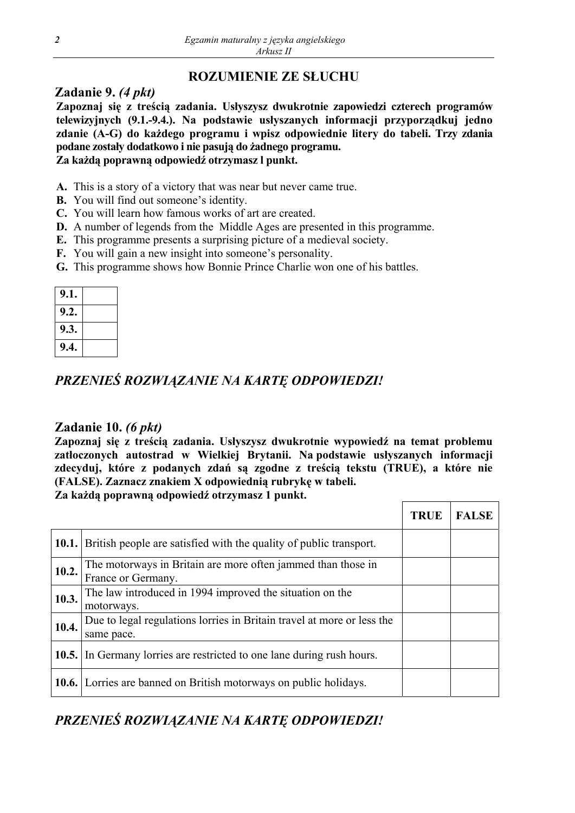# **ROZUMIENIE ZE SŁUCHU**

### **Zadanie 9.** *(4 pkt)*

**Zapoznaj się z treścią zadania. Usłyszysz dwukrotnie zapowiedzi czterech programów telewizyjnych (9.1.-9.4.). Na podstawie usłyszanych informacji przyporządkuj jedno zdanie (A-G) do każdego programu i wpisz odpowiednie litery do tabeli. Trzy zdania podane zostały dodatkowo i nie pasują do żadnego programu. Za każdą poprawną odpowiedź otrzymasz l punkt.** 

- **A.** This is a story of a victory that was near but never came true.
- **B.** You will find out someone's identity.
- **C.** You will learn how famous works of art are created.
- **D.** A number of legends from the Middle Ages are presented in this programme.
- **E.** This programme presents a surprising picture of a medieval society.
- **F.** You will gain a new insight into someone's personality.
- **G.** This programme shows how Bonnie Prince Charlie won one of his battles.

| 9.1. |  |
|------|--|
| 9.2. |  |
| 9.3. |  |
| 9.4. |  |

# *PRZENIEŚ ROZWIĄZANIE NA KARTĘ ODPOWIEDZI!*

### **Zadanie 10.** *(6 pkt)*

**Zapoznaj się z treścią zadania. Usłyszysz dwukrotnie wypowiedź na temat problemu zatłoczonych autostrad w Wielkiej Brytanii. Na podstawie usłyszanych informacji zdecyduj, które z podanych zdań są zgodne z treścią tekstu (TRUE), a które nie (FALSE). Zaznacz znakiem X odpowiednią rubrykę w tabeli.** 

**Za każdą poprawną odpowiedź otrzymasz 1 punkt.** 

|              |                                                                                      | <b>TRUE</b> | <b>FALSE</b> |
|--------------|--------------------------------------------------------------------------------------|-------------|--------------|
| 10.1.        | British people are satisfied with the quality of public transport.                   |             |              |
| 10.2.        | The motorways in Britain are more often jammed than those in<br>France or Germany.   |             |              |
| 10.3.        | The law introduced in 1994 improved the situation on the<br>motorways.               |             |              |
| 10.4.        | Due to legal regulations lorries in Britain travel at more or less the<br>same pace. |             |              |
| <b>10.5.</b> | In Germany lorries are restricted to one lane during rush hours.                     |             |              |
|              | <b>10.6.</b> Lorries are banned on British motorways on public holidays.             |             |              |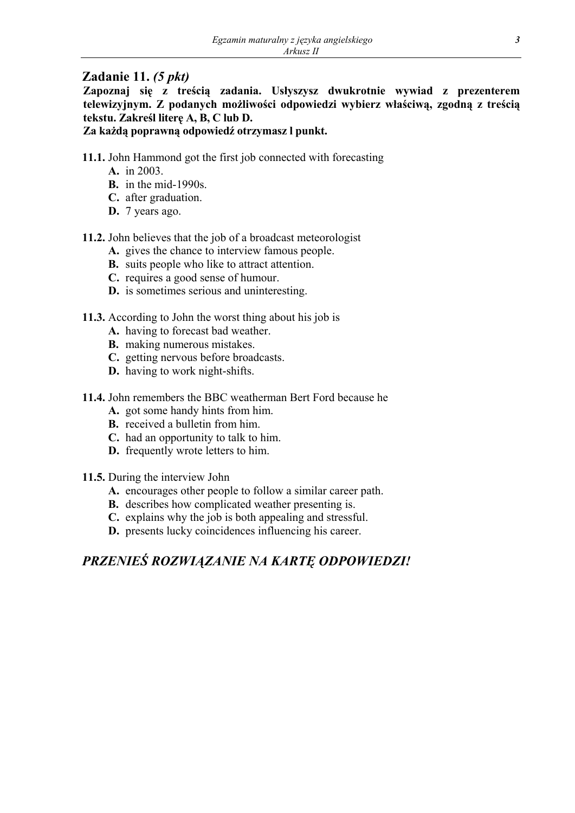### **Zadanie 11.** *(5 pkt)*

**Zapoznaj się z treścią zadania. Usłyszysz dwukrotnie wywiad z prezenterem telewizyjnym. Z podanych możliwości odpowiedzi wybierz właściwą, zgodną z treścią tekstu. Zakreśl literę A, B, C lub D.** 

### **Za każdą poprawną odpowiedź otrzymasz l punkt.**

- **11.1.** John Hammond got the first job connected with forecasting
	- **A.** in 2003.
	- **B.** in the mid-1990s.
	- **C.** after graduation.
	- **D.** 7 years ago.
- **11.2.** John believes that the job of a broadcast meteorologist
	- **A.** gives the chance to interview famous people.
	- **B.** suits people who like to attract attention.
	- **C.** requires a good sense of humour.
	- **D.** is sometimes serious and uninteresting.
- **11.3.** According to John the worst thing about his job is
	- **A.** having to forecast bad weather.
	- **B.** making numerous mistakes.
	- **C.** getting nervous before broadcasts.
	- **D.** having to work night-shifts.
- **11.4.** John remembers the BBC weatherman Bert Ford because he
	- **A.** got some handy hints from him.
	- **B.** received a bulletin from him.
	- **C.** had an opportunity to talk to him.
	- **D.** frequently wrote letters to him.
- **11.5.** During the interview John
	- **A.** encourages other people to follow a similar career path.
	- **B.** describes how complicated weather presenting is.
	- **C.** explains why the job is both appealing and stressful.
	- **D.** presents lucky coincidences influencing his career.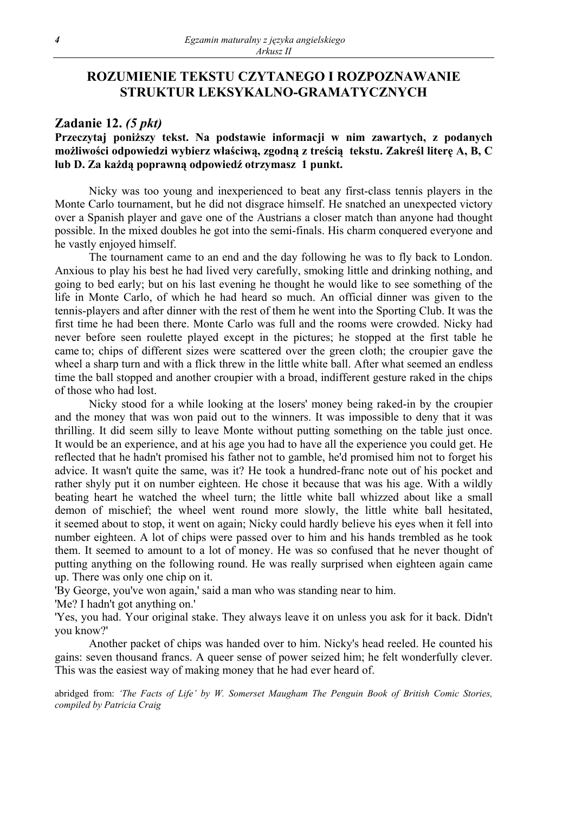### **ROZUMIENIE TEKSTU CZYTANEGO I ROZPOZNAWANIE STRUKTUR LEKSYKALNO-GRAMATYCZNYCH**

#### **Zadanie 12.** *(5 pkt)*

### **Przeczytaj poniższy tekst. Na podstawie informacji w nim zawartych, z podanych**  możliwości odpowiedzi wybierz właściwą, zgodną z treścią tekstu. Zakreśl literę A, B, C **lub D. Za każdą poprawną odpowiedź otrzymasz 1 punkt.**

Nicky was too young and inexperienced to beat any first-class tennis players in the Monte Carlo tournament, but he did not disgrace himself. He snatched an unexpected victory over a Spanish player and gave one of the Austrians a closer match than anyone had thought possible. In the mixed doubles he got into the semi-finals. His charm conquered everyone and he vastly enjoyed himself.

The tournament came to an end and the day following he was to fly back to London. Anxious to play his best he had lived very carefully, smoking little and drinking nothing, and going to bed early; but on his last evening he thought he would like to see something of the life in Monte Carlo, of which he had heard so much. An official dinner was given to the tennis-players and after dinner with the rest of them he went into the Sporting Club. It was the first time he had been there. Monte Carlo was full and the rooms were crowded. Nicky had never before seen roulette played except in the pictures; he stopped at the first table he came to; chips of different sizes were scattered over the green cloth; the croupier gave the wheel a sharp turn and with a flick threw in the little white ball. After what seemed an endless time the ball stopped and another croupier with a broad, indifferent gesture raked in the chips of those who had lost.

Nicky stood for a while looking at the losers' money being raked-in by the croupier and the money that was won paid out to the winners. It was impossible to deny that it was thrilling. It did seem silly to leave Monte without putting something on the table just once. It would be an experience, and at his age you had to have all the experience you could get. He reflected that he hadn't promised his father not to gamble, he'd promised him not to forget his advice. It wasn't quite the same, was it? He took a hundred-franc note out of his pocket and rather shyly put it on number eighteen. He chose it because that was his age. With a wildly beating heart he watched the wheel turn; the little white ball whizzed about like a small demon of mischief; the wheel went round more slowly, the little white ball hesitated, it seemed about to stop, it went on again; Nicky could hardly believe his eyes when it fell into number eighteen. A lot of chips were passed over to him and his hands trembled as he took them. It seemed to amount to a lot of money. He was so confused that he never thought of putting anything on the following round. He was really surprised when eighteen again came up. There was only one chip on it.

'By George, you've won again,' said a man who was standing near to him.

'Me? I hadn't got anything on.'

'Yes, you had. Your original stake. They always leave it on unless you ask for it back. Didn't you know?'

Another packet of chips was handed over to him. Nicky's head reeled. He counted his gains: seven thousand francs. A queer sense of power seized him; he felt wonderfully clever. This was the easiest way of making money that he had ever heard of.

abridged from: *'The Facts of Life' by W. Somerset Maugham The Penguin Book of British Comic Stories, compiled by Patricia Craig*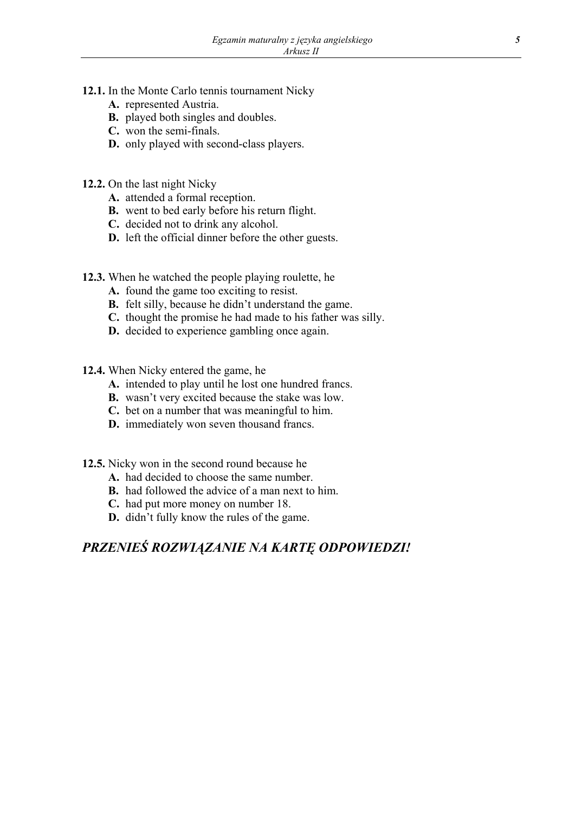- **12.1.** In the Monte Carlo tennis tournament Nicky
	- **A.** represented Austria.
	- **B.** played both singles and doubles.
	- **C.** won the semi-finals.
	- **D.** only played with second-class players.
- **12.2.** On the last night Nicky
	- **A.** attended a formal reception.
	- **B.** went to bed early before his return flight.
	- **C.** decided not to drink any alcohol.
	- **D.** left the official dinner before the other guests.
- **12.3.** When he watched the people playing roulette, he
	- **A.** found the game too exciting to resist.
	- **B.** felt silly, because he didn't understand the game.
	- **C.** thought the promise he had made to his father was silly.
	- **D.** decided to experience gambling once again.
- **12.4.** When Nicky entered the game, he
	- **A.** intended to play until he lost one hundred francs.
	- **B.** wasn't very excited because the stake was low.
	- **C.** bet on a number that was meaningful to him.
	- **D.** immediately won seven thousand francs.
- **12.5.** Nicky won in the second round because he
	- **A.** had decided to choose the same number.
	- **B.** had followed the advice of a man next to him.
	- **C.** had put more money on number 18.
	- **D.** didn't fully know the rules of the game.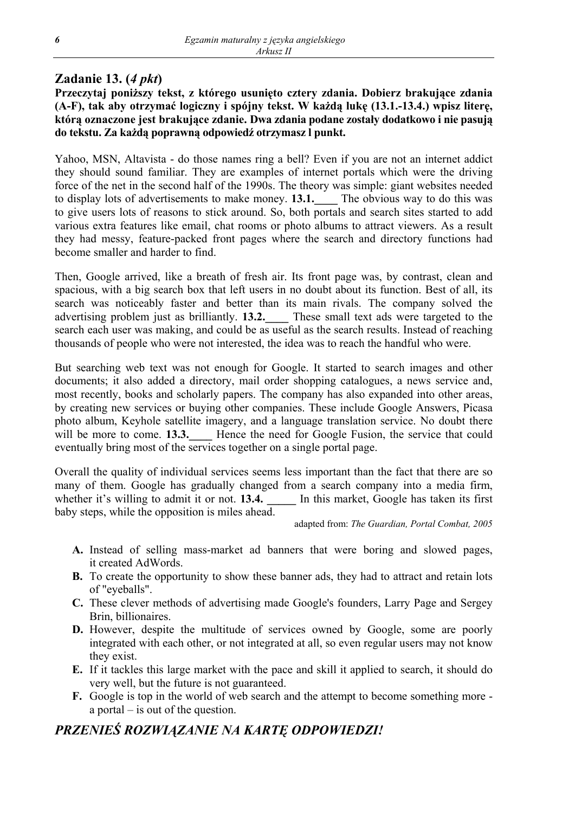## **Zadanie 13. (***4 pkt***)**

**Przeczytaj poniższy tekst, z którego usunięto cztery zdania. Dobierz brakujące zdania (A-F), tak aby otrzymać logiczny i spójny tekst. W każdą lukę (13.1.-13.4.) wpisz literę, którą oznaczone jest brakujące zdanie. Dwa zdania podane zostały dodatkowo i nie pasują do tekstu. Za każdą poprawną odpowiedź otrzymasz l punkt.** 

Yahoo, MSN, Altavista - do those names ring a bell? Even if you are not an internet addict they should sound familiar. They are examples of internet portals which were the driving force of the net in the second half of the 1990s. The theory was simple: giant websites needed to display lots of advertisements to make money. **13.1.\_\_\_\_** The obvious way to do this was to give users lots of reasons to stick around. So, both portals and search sites started to add various extra features like email, chat rooms or photo albums to attract viewers. As a result they had messy, feature-packed front pages where the search and directory functions had become smaller and harder to find.

Then, Google arrived, like a breath of fresh air. Its front page was, by contrast, clean and spacious, with a big search box that left users in no doubt about its function. Best of all, its search was noticeably faster and better than its main rivals. The company solved the advertising problem just as brilliantly. **13.2.\_\_\_\_** These small text ads were targeted to the search each user was making, and could be as useful as the search results. Instead of reaching thousands of people who were not interested, the idea was to reach the handful who were.

But searching web text was not enough for Google. It started to search images and other documents; it also added a directory, mail order shopping catalogues, a news service and, most recently, books and scholarly papers. The company has also expanded into other areas, by creating new services or buying other companies. These include Google Answers, Picasa photo album, Keyhole satellite imagery, and a language translation service. No doubt there will be more to come. **13.3.** Hence the need for Google Fusion, the service that could eventually bring most of the services together on a single portal page.

Overall the quality of individual services seems less important than the fact that there are so many of them. Google has gradually changed from a search company into a media firm, whether it's willing to admit it or not. **13.4.** In this market, Google has taken its first baby steps, while the opposition is miles ahead.

adapted from: *The Guardian, Portal Combat, 2005* 

- **A.** Instead of selling mass-market ad banners that were boring and slowed pages, it created AdWords.
- **B.** To create the opportunity to show these banner ads, they had to attract and retain lots of "eyeballs".
- **C.** These clever methods of advertising made Google's founders, Larry Page and Sergey Brin, billionaires.
- **D.** However, despite the multitude of services owned by Google, some are poorly integrated with each other, or not integrated at all, so even regular users may not know they exist.
- **E.** If it tackles this large market with the pace and skill it applied to search, it should do very well, but the future is not guaranteed.
- **F.** Google is top in the world of web search and the attempt to become something more a portal – is out of the question.